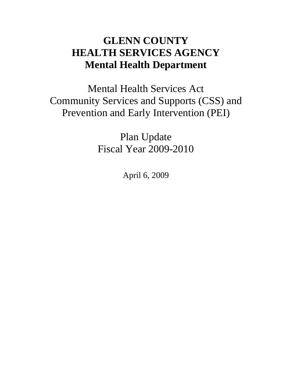# **GLENN COUNTY HEALTH SERVICES AGENCY Mental Health Department**

Mental Health Services Act Community Services and Supports (CSS) and Prevention and Early Intervention (PEI)

> Plan Update Fiscal Year 2009-2010

> > April 6, 2009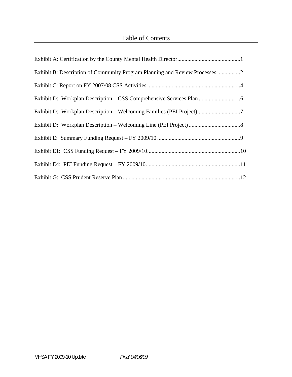## Table of Contents

| Exhibit B: Description of Community Program Planning and Review Processes 2 |  |
|-----------------------------------------------------------------------------|--|
|                                                                             |  |
|                                                                             |  |
|                                                                             |  |
|                                                                             |  |
|                                                                             |  |
|                                                                             |  |
|                                                                             |  |
|                                                                             |  |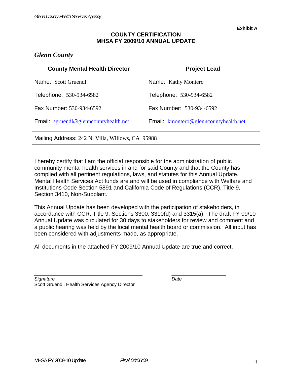### **COUNTY CERTIFICATION MHSA FY 2009/10 ANNUAL UPDATE**

### *Glenn County*

| <b>County Mental Health Director</b>             | <b>Project Lead</b>                   |  |  |  |  |  |
|--------------------------------------------------|---------------------------------------|--|--|--|--|--|
| Name: Scott Gruendl                              | Name: Kathy Montero                   |  |  |  |  |  |
| Telephone: 530-934-6582                          | Telephone: 530-934-6582               |  |  |  |  |  |
| Fax Number: 530-934-6592                         | Fax Number: 530-934-6592              |  |  |  |  |  |
| Email: sgruendl@glenncountyhealth.net            | Email: kmontero@glenncountyhealth.net |  |  |  |  |  |
| Mailing Address: 242 N. Villa, Willows, CA 95988 |                                       |  |  |  |  |  |

I hereby certify that I am the official responsible for the administration of public community mental health services in and for said County and that the County has complied with all pertinent regulations, laws, and statutes for this Annual Update. Mental Health Services Act funds are and will be used in compliance with Welfare and Institutions Code Section 5891 and California Code of Regulations (CCR), Title 9, Section 3410, Non-Supplant.

This Annual Update has been developed with the participation of stakeholders, in accordance with CCR, Title 9, Sections 3300, 3310(d) and 3315(a). The draft FY 09/10 Annual Update was circulated for 30 days to stakeholders for review and comment and a public hearing was held by the local mental health board or commission. All input has been considered with adjustments made, as appropriate.

All documents in the attached FY 2009/10 Annual Update are true and correct.

\_\_\_\_\_\_\_\_\_\_\_\_\_\_\_\_\_\_\_\_\_\_\_\_\_\_\_\_\_\_\_\_\_\_ \_\_\_\_\_\_\_\_\_\_\_\_\_\_\_\_\_

| Signature                                      | Date |
|------------------------------------------------|------|
| Scott Gruendl, Health Services Agency Director |      |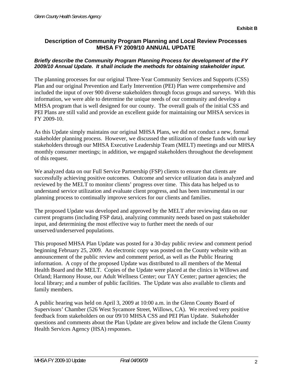### **Description of Community Program Planning and Local Review Processes MHSA FY 2009/10 ANNUAL UPDATE**

### *Briefly describe the Community Program Planning Process for development of the FY 2009/10 Annual Update. It shall include the methods for obtaining stakeholder input.*

The planning processes for our original Three-Year Community Services and Supports (CSS) Plan and our original Prevention and Early Intervention (PEI) Plan were comprehensive and included the input of over 900 diverse stakeholders through focus groups and surveys. With this information, we were able to determine the unique needs of our community and develop a MHSA program that is well designed for our county. The overall goals of the initial CSS and PEI Plans are still valid and provide an excellent guide for maintaining our MHSA services in FY 2009-10.

As this Update simply maintains our original MHSA Plans, we did not conduct a new, formal stakeholder planning process. However, we discussed the utilization of these funds with our key stakeholders through our MHSA Executive Leadership Team (MELT) meetings and our MHSA monthly consumer meetings; in addition, we engaged stakeholders throughout the development of this request.

We analyzed data on our Full Service Partnership (FSP) clients to ensure that clients are successfully achieving positive outcomes. Outcome and service utilization data is analyzed and reviewed by the MELT to monitor clients' progress over time. This data has helped us to understand service utilization and evaluate client progress, and has been instrumental in our planning process to continually improve services for our clients and families.

The proposed Update was developed and approved by the MELT after reviewing data on our current programs (including FSP data), analyzing community needs based on past stakeholder input, and determining the most effective way to further meet the needs of our unserved/underserved populations.

This proposed MHSA Plan Update was posted for a 30-day public review and comment period beginning February 25, 2009. An electronic copy was posted on the County website with an announcement of the public review and comment period, as well as the Public Hearing information. A copy of the proposed Update was distributed to all members of the Mental Health Board and the MELT. Copies of the Update were placed at the clinics in Willows and Orland; Harmony House, our Adult Wellness Center; our TAY Center; partner agencies; the local library; and a number of public facilities. The Update was also available to clients and family members.

A public hearing was held on April 3, 2009 at 10:00 a.m. in the Glenn County Board of Supervisors' Chamber (526 West Sycamore Street, Willows, CA). We received very positive feedback from stakeholders on our 09/10 MHSA CSS and PEI Plan Update. Stakeholder questions and comments about the Plan Update are given below and include the Glenn County Health Services Agency (HSA) responses.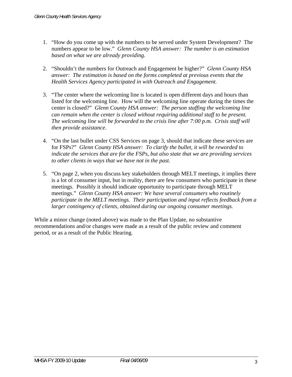- 1. "How do you come up with the numbers to be served under System Development? The numbers appear to be low." *Glenn County HSA answer: The number is an estimation based on what we are already providing.*
- 2. "Shouldn't the numbers for Outreach and Engagement be higher?" *Glenn County HSA answer: The estimation is based on the forms completed at previous events that the Health Services Agency participated in with Outreach and Engagement.*
- 3. "The center where the welcoming line is located is open different days and hours than listed for the welcoming line. How will the welcoming line operate during the times the center is closed?" *Glenn County HSA answer: The person staffing the welcoming line can remain when the center is closed without requiring additional staff to be present. The welcoming line will be forwarded to the crisis line after 7:00 p.m. Crisis staff will then provide assistance.*
- 4. "On the last bullet under CSS Services on page 3, should that indicate these services are for FSPs?" *Glenn County HSA answer: To clarify the bullet, it will be reworded to indicate the services that are for the FSPs, but also state that we are providing services to other clients in ways that we have not in the past.*
- 5. "On page 2, when you discuss key stakeholders through MELT meetings, it implies there is a lot of consumer input, but in reality, there are few consumers who participate in these meetings. Possibly it should indicate opportunity to participate through MELT meetings." *Glenn County HSA answer: We have several consumers who routinely participate in the MELT meetings. Their participation and input reflects feedback from a larger contingency of clients, obtained during our ongoing consumer meetings.*

While a minor change (noted above) was made to the Plan Update, no substantive recommendations and/or changes were made as a result of the public review and comment period, or as a result of the Public Hearing.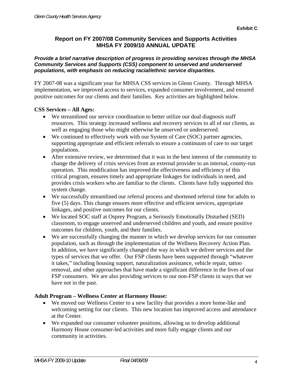### **Report on FY 2007/08 Community Services and Supports Activities MHSA FY 2009/10 ANNUAL UPDATE**

### *Provide a brief narrative description of progress in providing services through the MHSA Community Services and Supports (CSS) component to unserved and underserved populations, with emphasis on reducing racial/ethnic service disparities.*

FY 2007-08 was a significant year for MHSA CSS services in Glenn County. Through MHSA implementation, we improved access to services, expanded consumer involvement, and ensured positive outcomes for our clients and their families. Key activities are highlighted below.

### **CSS Services – All Ages:**

- We streamlined our service coordination to better utilize our dual diagnosis staff resources. This strategy increased wellness and recovery services to all of our clients, as well as engaging those who might otherwise be unserved or underserved.
- We continued to effectively work with our System of Care (SOC) partner agencies, supporting appropriate and efficient referrals to ensure a continuum of care to our target populations.
- After extensive review, we determined that it was in the best interest of the community to change the delivery of crisis services from an external provider to an internal, county-run operation. This modification has improved the effectiveness and efficiency of this critical program, ensures timely and appropriate linkages for individuals in need, and provides crisis workers who are familiar to the clients. Clients have fully supported this system change.
- We successfully streamlined our referral process and shortened referral time for adults to five (5) days. This change ensures more effective and efficient services, appropriate linkages, and positive outcomes for our clients.
- We located SOC staff at Osprey Program, a Seriously Emotionally Disturbed (SED) classroom, to engage unserved and underserved children and youth, and ensure positive outcomes for children, youth, and their families.
- We are successfully changing the manner in which we develop services for our consumer population, such as through the implementation of the Wellness Recovery Action Plan. In addition, we have significantly changed the way in which we deliver services and the types of services that we offer. Our FSP clients have been supported through "whatever it takes," including housing support, naturalization assistance, vehicle repair, tattoo removal, and other approaches that have made a significant difference in the lives of our FSP consumers. We are also providing services to our non-FSP clients in ways that we have not in the past.

### **Adult Program – Wellness Center at Harmony House:**

- We moved our Wellness Center to a new facility that provides a more home-like and welcoming setting for our clients. This new location has improved access and attendance at the Center.
- We expanded our consumer volunteer positions, allowing us to develop additional Harmony House consumer-led activities and more fully engage clients and our community in activities.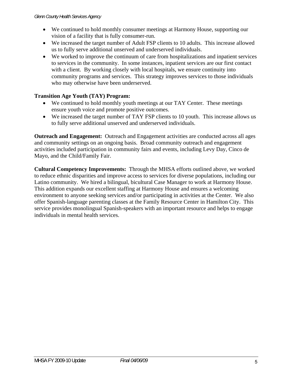- We continued to hold monthly consumer meetings at Harmony House, supporting our vision of a facility that is fully consumer-run.
- We increased the target number of Adult FSP clients to 10 adults. This increase allowed us to fully serve additional unserved and underserved individuals.
- We worked to improve the continuum of care from hospitalizations and inpatient services to services in the community. In some instances, inpatient services are our first contact with a client. By working closely with local hospitals, we ensure continuity into community programs and services. This strategy improves services to those individuals who may otherwise have been underserved.

### **Transition Age Youth (TAY) Program:**

- We continued to hold monthly youth meetings at our TAY Center. These meetings ensure youth voice and promote positive outcomes.
- We increased the target number of TAY FSP clients to 10 youth. This increase allows us to fully serve additional unserved and underserved individuals.

**Outreach and Engagement:** Outreach and Engagement activities are conducted across all ages and community settings on an ongoing basis. Broad community outreach and engagement activities included participation in community fairs and events, including Levy Day, Cinco de Mayo, and the Child/Family Fair.

**Cultural Competency Improvements:** Through the MHSA efforts outlined above, we worked to reduce ethnic disparities and improve access to services for diverse populations, including our Latino community. We hired a bilingual, bicultural Case Manager to work at Harmony House. This addition expands our excellent staffing at Harmony House and ensures a welcoming environment to anyone seeking services and/or participating in activities at the Center. We also offer Spanish-language parenting classes at the Family Resource Center in Hamilton City. This service provides monolingual Spanish-speakers with an important resource and helps to engage individuals in mental health services.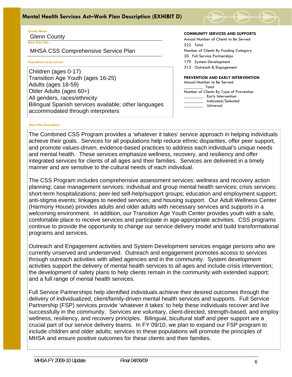

### **County Name**

Glenn County

**Work Plan Title**

MHSA CSS Comprehensive Service Plan

#### j **Populations to be served**

Children (ages 0-17) Transition Age Youth (ages 16-25) Adults (ages 18-59) Older Adults (ages 60+) All genders, races/ethnicity Bilingual Spanish services available; other languages accommodated through interpreters

#### **COMMUNITY SERVICES AND SUPPORTS**

Annual Number of Clients to Be Served 522 Total Number of Clients By Funding Category 30 Full Service Partnerships 179 System Development 313 Outreach & Engagement **PREVENTION AND EARLY INTERVENTION** 

Annual Number to Be Served \_\_\_\_\_\_\_\_\_ Total Number of Clients By Type of Prevention \_\_\_\_\_\_\_\_\_ Early Intervention \_\_\_\_\_\_\_\_\_ Indicated/Selected \_\_\_\_\_\_\_\_\_ Universal

#### **Work Plan Description**

The Combined CSS Program provides a 'whatever it takes' service approach in helping individuals achieve their goals. Services for all populations help reduce ethnic disparities, offer peer support, and promote values-driven, evidence-based practices to address each individual's unique needs and mental health. These services emphasize wellness, recovery, and resiliency and offer integrated services for clients of all ages and their families. Services are delivered in a timely manner and are sensitive to the cultural needs of each individual.

The CSS Program includes comprehensive assessment services; wellness and recovery action planning; case management services; individual and group mental health services; crisis services; short-term hospitalizations; peer-led self-help/support groups; education and employment support; anti-stigma events; linkages to needed services; and housing support. Our Adult Wellness Center (Harmony House) provides adults and older adults with necessary services and supports in a welcoming environment. In addition, our Transition Age Youth Center provides youth with a safe, comfortable place to receive services and participate in age-appropriate activities. CSS programs continue to provide the opportunity to change our service delivery model and build transformational programs and services.

Outreach and Engagement activities and System Development services engage persons who are currently unserved and underserved. Outreach and engagement promotes access to services through outreach activities with allied agencies and in the community. System development activities support the delivery of mental health services to all ages and include crisis intervention; the development of safety plans to help clients remain in the community with extended support; and a full range of mental health services.

Full Service Partnerships help identified individuals achieve their desired outcomes through the delivery of individualized, client/family-driven mental health services and supports. Full Service Partnership (FSP) services provide 'whatever it takes' to help these individuals recover and live successfully in the community. Services are voluntary, client-directed, strength-based, and employ wellness, resiliency, and recovery principles. Bilingual, bicultural staff and peer support are a crucial part of our service delivery teams. In FY 09/10, we plan to expand our FSP program to include children and older adults; services to these populations will promote the principles of MHSA and ensure positive outcomes for these clients and their families.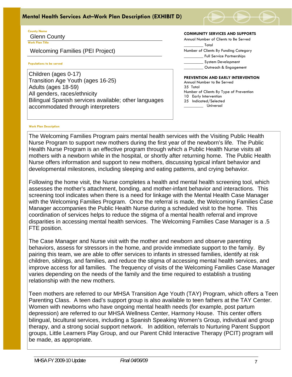### *Glenn County Health Services Agency*  **Mental Health Services Act–Work Plan Description (EXHIBIT D)**



#### **County Name** Glenn County

**Work Plan Title**

j

Welcoming Families (PEI Project)

#### **Populations to be served**

Children (ages 0-17) Transition Age Youth (ages 16-25) Adults (ages 18-59) All genders, races/ethnicity Bilingual Spanish services available; other languages accommodated through interpreters

#### **COMMUNITY SERVICES AND SUPPORTS**

Annual Number of Clients to Be Served \_\_\_\_\_\_\_\_\_ Total Number of Clients By Funding Category \_\_\_\_\_\_\_\_\_ Full Service Partnerships \_\_\_\_\_\_\_\_\_ System Development \_\_\_\_\_\_\_\_\_ Outreach & Engagement

#### **PREVENTION AND EARLY INTERVENTION**

Annual Number to Be Served 35 Total Number of Clients By Type of Prevention 10 Early Intervention 25 Indicated/Selected \_\_\_\_\_\_\_\_\_ Universal

#### **Work Plan Description**

The Welcoming Families Program pairs mental health services with the Visiting Public Health Nurse Program to support new mothers during the first year of the newborn's life. The Public Health Nurse Program is an effective program through which a Public Health Nurse visits all mothers with a newborn while in the hospital, or shortly after returning home. The Public Health Nurse offers information and support to new mothers, discussing typical infant behavior and developmental milestones, including sleeping and eating patterns, and crying behavior.

Following the home visit, the Nurse completes a health and mental health screening tool, which assesses the mother's attachment, bonding, and mother-infant behavior and interactions. This screening tool indicates when there is a need for linkage with the Mental Health Case Manager with the Welcoming Families Program. Once the referral is made, the Welcoming Families Case Manager accompanies the Public Health Nurse during a scheduled visit to the home. This coordination of services helps to reduce the stigma of a mental health referral and improve disparities in accessing mental health services. The Welcoming Families Case Manager is a .5 FTE position.

The Case Manager and Nurse visit with the mother and newborn and observe parenting behaviors, assess for stressors in the home, and provide immediate support to the family. By pairing this team, we are able to offer services to infants in stressed families, identify at risk children, siblings, and families, and reduce the stigma of accessing mental health services, and improve access for all families. The frequency of visits of the Welcoming Families Case Manager varies depending on the needs of the family and the time required to establish a trusting relationship with the new mothers.

Teen mothers are referred to our MHSA Transition Age Youth (TAY) Program, which offers a Teen Parenting Class. A teen dad's support group is also available to teen fathers at the TAY Center. Women with newborns who have ongoing mental health needs (for example, post partum depression) are referred to our MHSA Wellness Center, Harmony House. This center offers bilingual, bicultural services, including a Spanish Speaking Women's Group, individual and group therapy, and a strong social support network. In addition, referrals to Nurturing Parent Support groups, Little Learners Play Group, and our Parent Child Interactive Therapy (PCIT) program will be made, as appropriate.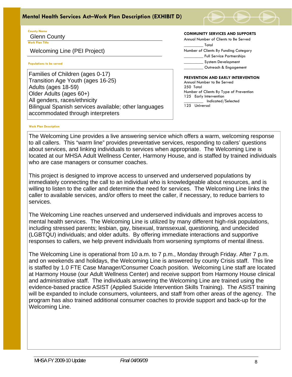### *Glenn County Health Services Agency*  **Mental Health Services Act–Work Plan Description (EXHIBIT D)**



#### **County Name** Glenn County

**Work Plan Title**

Welcoming Line (PEI Project)

#### **Populations to be served**

j

Families of Children (ages 0-17) Transition Age Youth (ages 16-25) Adults (ages 18-59) Older Adults (ages 60+) All genders, races/ethnicity Bilingual Spanish services available; other languages accommodated through interpreters

#### **COMMUNITY SERVICES AND SUPPORTS**

Annual Number of Clients to Be Served \_\_\_\_\_\_\_\_\_ Total Number of Clients By Funding Category \_\_\_\_\_\_\_\_\_ Full Service Partnerships \_\_\_\_\_\_\_\_\_ System Development \_\_\_\_\_\_\_\_\_ Outreach & Engagement

#### **PREVENTION AND EARLY INTERVENTION**

Annual Number to Be Served 250 Total Number of Clients By Type of Prevention 125 Early Intervention \_\_\_\_\_\_\_\_\_ Indicated/Selected 125 Universal

#### **Work Plan Description**

The Welcoming Line provides a live answering service which offers a warm, welcoming response to all callers. This "warm line" provides preventative services, responding to callers' questions about services, and linking individuals to services when appropriate. The Welcoming Line is located at our MHSA Adult Wellness Center, Harmony House, and is staffed by trained individuals who are case managers or consumer coaches.

This project is designed to improve access to unserved and underserved populations by immediately connecting the call to an individual who is knowledgeable about resources, and is willing to listen to the caller and determine the need for services. The Welcoming Line links the caller to available services, and/or offers to meet the caller, if necessary, to reduce barriers to services.

The Welcoming Line reaches unserved and underserved individuals and improves access to mental health services. The Welcoming Line is utilized by many different high-risk populations, including stressed parents; lesbian, gay, bisexual, transsexual, questioning, and undecided (LGBTQU) individuals; and older adults. By offering immediate interactions and supportive responses to callers, we help prevent individuals from worsening symptoms of mental illness.

The Welcoming Line is operational from 10 a.m. to 7 p.m., Monday through Friday. After 7 p.m. and on weekends and holidays, the Welcoming Line is answered by county Crisis staff. This line is staffed by 1.0 FTE Case Manager/Consumer Coach position. Welcoming Line staff are located at Harmony House (our Adult Wellness Center) and receive support from Harmony House clinical and administrative staff. The individuals answering the Welcoming Line are trained using the evidence-based practice ASIST (Applied Suicide Intervention Skills Training). The ASIST training will be expanded to include consumers, volunteers, and staff from other areas of the agency. The program has also trained additional consumer coaches to provide support and back-up for the Welcoming Line.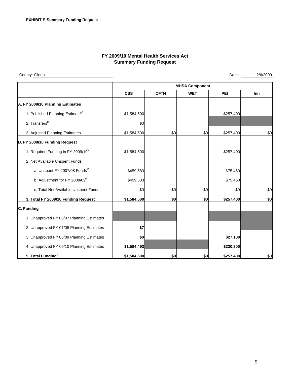### **FY 2009/10 Mental Health Services Act Summary Funding Request**

County: Glenn

Date: 2/6/2009

|                                                 | <b>MHSA Component</b> |             |            |           |     |  |  |
|-------------------------------------------------|-----------------------|-------------|------------|-----------|-----|--|--|
|                                                 | <b>CSS</b>            | <b>CFTN</b> | <b>WET</b> | PEI       | Inn |  |  |
| A. FY 2009/10 Planning Estimates                |                       |             |            |           |     |  |  |
| 1. Published Planning Estimate <sup>a/</sup>    | \$1,584,500           |             |            | \$257,400 |     |  |  |
| 2. Transfers <sup>b/</sup>                      | \$0                   |             |            |           |     |  |  |
| 3. Adjusted Planning Estimates                  | \$1,584,500           | \$0         | \$0        | \$257,400 | \$0 |  |  |
| B. FY 2009/10 Funding Request                   |                       |             |            |           |     |  |  |
| 1. Required Funding in FY 2009/10 <sup>c/</sup> | \$1,584,500           |             |            | \$257,400 |     |  |  |
| 2. Net Available Unspent Funds                  |                       |             |            |           |     |  |  |
| a. Unspent FY 2007/08 Funds <sup>d/</sup>       | \$459,583             |             |            | \$75,460  |     |  |  |
| b. Adjustment for FY 2008/09 <sup>e/</sup>      | \$459,583             |             |            | \$75,460  |     |  |  |
| c. Total Net Available Unspent Funds            | \$0                   | \$0         | \$0        | \$0       | \$0 |  |  |
| 3. Total FY 2009/10 Funding Request             | \$1,584,500           | \$0         | \$0        | \$257,400 | \$0 |  |  |
| C. Funding                                      |                       |             |            |           |     |  |  |
| 1. Unapproved FY 06/07 Planning Estimates       |                       |             |            |           |     |  |  |
| 2. Unapproved FY 07/08 Planning Estimates       | \$7                   |             |            |           |     |  |  |
| 3. Unapproved FY 08/09 Planning Estimates       | \$0                   |             |            | \$27,100  |     |  |  |
| 4. Unapproved FY 09/10 Planning Estimates       | \$1,584,493           |             |            | \$230,300 |     |  |  |
| 5. Total Funding <sup>t/</sup>                  | \$1,584,500           | \$0         | \$0        | \$257,400 | \$0 |  |  |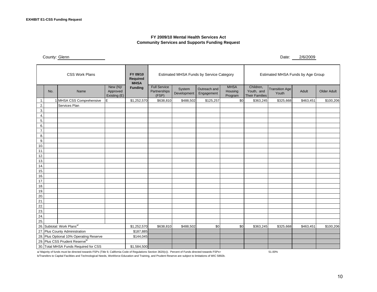#### **FY 2009/10 Mental Health Services Act Community Services and Supports Funding Request**

County: Glenn

| <b>CSS Work Plans</b>                      |     |                          |                                        | FY 09/10<br>Required<br><b>MHSA</b> | Estimated MHSA Funds by Service Category     |                       |                            |                                   | Estimated MHSA Funds by Age Group                |                                |           |                    |
|--------------------------------------------|-----|--------------------------|----------------------------------------|-------------------------------------|----------------------------------------------|-----------------------|----------------------------|-----------------------------------|--------------------------------------------------|--------------------------------|-----------|--------------------|
|                                            | No. | Name                     | New $(N)/$<br>Approved<br>Existing (E) | <b>Funding</b>                      | <b>Full Service</b><br>Partnerships<br>(FSP) | System<br>Development | Outreach and<br>Engagement | <b>MHSA</b><br>Housing<br>Program | Children,<br>Youth, and<br><b>Their Families</b> | <b>Transition Age</b><br>Youth | Adult     | <b>Older Adult</b> |
| 1.                                         |     | 1 MHSA CSS Comprehensive | E                                      | \$1,252,570                         | \$638,810                                    | \$488,502             | \$125,257                  | \$0                               | \$363,245                                        | \$325,668                      | \$463,451 | \$100,206          |
| 2.                                         |     | Services Plan            |                                        |                                     |                                              |                       |                            |                                   |                                                  |                                |           |                    |
| 3.                                         |     |                          |                                        |                                     |                                              |                       |                            |                                   |                                                  |                                |           |                    |
| 4.                                         |     |                          |                                        |                                     |                                              |                       |                            |                                   |                                                  |                                |           |                    |
| 5.                                         |     |                          |                                        |                                     |                                              |                       |                            |                                   |                                                  |                                |           |                    |
| 6.                                         |     |                          |                                        |                                     |                                              |                       |                            |                                   |                                                  |                                |           |                    |
| 7.                                         |     |                          |                                        |                                     |                                              |                       |                            |                                   |                                                  |                                |           |                    |
| 8.<br>9.                                   |     |                          |                                        |                                     |                                              |                       |                            |                                   |                                                  |                                |           |                    |
| 10.                                        |     |                          |                                        |                                     |                                              |                       |                            |                                   |                                                  |                                |           |                    |
| 11.                                        |     |                          |                                        |                                     |                                              |                       |                            |                                   |                                                  |                                |           |                    |
| 12.                                        |     |                          |                                        |                                     |                                              |                       |                            |                                   |                                                  |                                |           |                    |
| 13.                                        |     |                          |                                        |                                     |                                              |                       |                            |                                   |                                                  |                                |           |                    |
| 14.                                        |     |                          |                                        |                                     |                                              |                       |                            |                                   |                                                  |                                |           |                    |
| 15.                                        |     |                          |                                        |                                     |                                              |                       |                            |                                   |                                                  |                                |           |                    |
| 16.                                        |     |                          |                                        |                                     |                                              |                       |                            |                                   |                                                  |                                |           |                    |
| 17.                                        |     |                          |                                        |                                     |                                              |                       |                            |                                   |                                                  |                                |           |                    |
| 18.                                        |     |                          |                                        |                                     |                                              |                       |                            |                                   |                                                  |                                |           |                    |
| 19.                                        |     |                          |                                        |                                     |                                              |                       |                            |                                   |                                                  |                                |           |                    |
| 20.                                        |     |                          |                                        |                                     |                                              |                       |                            |                                   |                                                  |                                |           |                    |
| 21.<br>22.                                 |     |                          |                                        |                                     |                                              |                       |                            |                                   |                                                  |                                |           |                    |
| 23.                                        |     |                          |                                        |                                     |                                              |                       |                            |                                   |                                                  |                                |           |                    |
| 24.                                        |     |                          |                                        |                                     |                                              |                       |                            |                                   |                                                  |                                |           |                    |
| 25.                                        |     |                          |                                        |                                     |                                              |                       |                            |                                   |                                                  |                                |           |                    |
| 26. Subtotal: Work Plans <sup>a/</sup>     |     | \$1,252,570              | \$638,810                              | \$488,502                           | \$0                                          | \$0                   | \$363,245                  | \$325,668                         | \$463,451                                        | \$100,206                      |           |                    |
| 27. Plus County Administration             |     | \$187,885                |                                        |                                     |                                              |                       |                            |                                   |                                                  |                                |           |                    |
| 28. Plus Optional 10% Operating Reserve    |     |                          | \$144,045                              |                                     |                                              |                       |                            |                                   |                                                  |                                |           |                    |
| 29. Plus CSS Prudent Reserve <sup>b/</sup> |     |                          |                                        |                                     |                                              |                       |                            |                                   |                                                  |                                |           |                    |
| 30. Total MHSA Funds Required for CSS      |     |                          |                                        | \$1,584,500                         |                                              |                       |                            |                                   |                                                  |                                |           |                    |

a/ Majority of funds must be directed towards FSPs (Title 9, California Code of Regulations Section 3620(c)). Percent of Funds directed towards FSPs= 51.00%

b/Transfers to Capital Facilities and Technological Needs, Workforce Education and Training, and Prudent Reserve are subject to limitations of WIC 5892b.

Date: 2/6/2009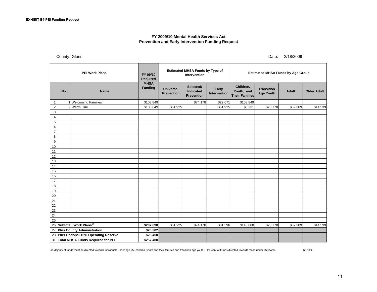#### **FY 2009/10 Mental Health Services Act Prevention and Early Intervention Funding Request**

County: Glenn

Date: 2/18/2009

| <b>PEI Work Plans</b> |                                         |                                       | FY 09/10<br>Required          | <b>Estimated MHSA Funds by Type of</b><br>Intervention |                                      |                       | <b>Estimated MHSA Funds by Age Group</b>         |                                       |              |                    |
|-----------------------|-----------------------------------------|---------------------------------------|-------------------------------|--------------------------------------------------------|--------------------------------------|-----------------------|--------------------------------------------------|---------------------------------------|--------------|--------------------|
|                       | No.                                     | <b>Name</b>                           | <b>MHSA</b><br><b>Funding</b> | <b>Universal</b><br>Prevention                         | Selected/<br>Indicated<br>Prevention | Early<br>Intervention | Children,<br>Youth, and<br><b>Their Families</b> | <b>Transition</b><br><b>Age Youth</b> | <b>Adult</b> | <b>Older Adult</b> |
| 1.                    |                                         | 1 Welcoming Families                  | \$103,849                     |                                                        | \$74,178                             | \$29,671              | \$103,849                                        |                                       |              |                    |
| 2.                    |                                         | 2 Warm Line                           | \$103,849                     | \$51,925                                               |                                      | \$51,925              | \$6,231                                          | \$20,770                              | \$62,309     | \$14,539           |
| 3.                    |                                         |                                       |                               |                                                        |                                      |                       |                                                  |                                       |              |                    |
| 4.                    |                                         |                                       |                               |                                                        |                                      |                       |                                                  |                                       |              |                    |
| 5.                    |                                         |                                       |                               |                                                        |                                      |                       |                                                  |                                       |              |                    |
| 6.                    |                                         |                                       |                               |                                                        |                                      |                       |                                                  |                                       |              |                    |
| 7.                    |                                         |                                       |                               |                                                        |                                      |                       |                                                  |                                       |              |                    |
| 8.                    |                                         |                                       |                               |                                                        |                                      |                       |                                                  |                                       |              |                    |
| 9.<br>10.             |                                         |                                       |                               |                                                        |                                      |                       |                                                  |                                       |              |                    |
| 11.                   |                                         |                                       |                               |                                                        |                                      |                       |                                                  |                                       |              |                    |
| 12.                   |                                         |                                       |                               |                                                        |                                      |                       |                                                  |                                       |              |                    |
| 13.                   |                                         |                                       |                               |                                                        |                                      |                       |                                                  |                                       |              |                    |
| 14.                   |                                         |                                       |                               |                                                        |                                      |                       |                                                  |                                       |              |                    |
| 15.                   |                                         |                                       |                               |                                                        |                                      |                       |                                                  |                                       |              |                    |
| 16.                   |                                         |                                       |                               |                                                        |                                      |                       |                                                  |                                       |              |                    |
| 17.                   |                                         |                                       |                               |                                                        |                                      |                       |                                                  |                                       |              |                    |
| 18.                   |                                         |                                       |                               |                                                        |                                      |                       |                                                  |                                       |              |                    |
| 19.                   |                                         |                                       |                               |                                                        |                                      |                       |                                                  |                                       |              |                    |
| 20.<br>21.            |                                         |                                       |                               |                                                        |                                      |                       |                                                  |                                       |              |                    |
| 22.                   |                                         |                                       |                               |                                                        |                                      |                       |                                                  |                                       |              |                    |
| 23.                   |                                         |                                       |                               |                                                        |                                      |                       |                                                  |                                       |              |                    |
| 24.                   |                                         |                                       |                               |                                                        |                                      |                       |                                                  |                                       |              |                    |
| 25.                   |                                         |                                       |                               |                                                        |                                      |                       |                                                  |                                       |              |                    |
|                       | 26. Subtotal: Work Plans <sup>a/</sup>  |                                       |                               | \$51,925                                               | \$74,178                             | \$81,596              | \$110,080                                        | \$20,770                              | \$62,309     | \$14,539           |
|                       |                                         | 27. Plus County Administration        | \$26,302                      |                                                        |                                      |                       |                                                  |                                       |              |                    |
|                       | 28. Plus Optional 10% Operating Reserve |                                       |                               |                                                        |                                      |                       |                                                  |                                       |              |                    |
|                       |                                         | 31. Total MHSA Funds Required for PEI | \$257,400                     |                                                        |                                      |                       |                                                  |                                       |              |                    |

a/ Majority of funds must be directed towards individuals under age 25--children, youth and their families and transition age youth . Percent of Funds directed towards those under 25 years= 63.00%